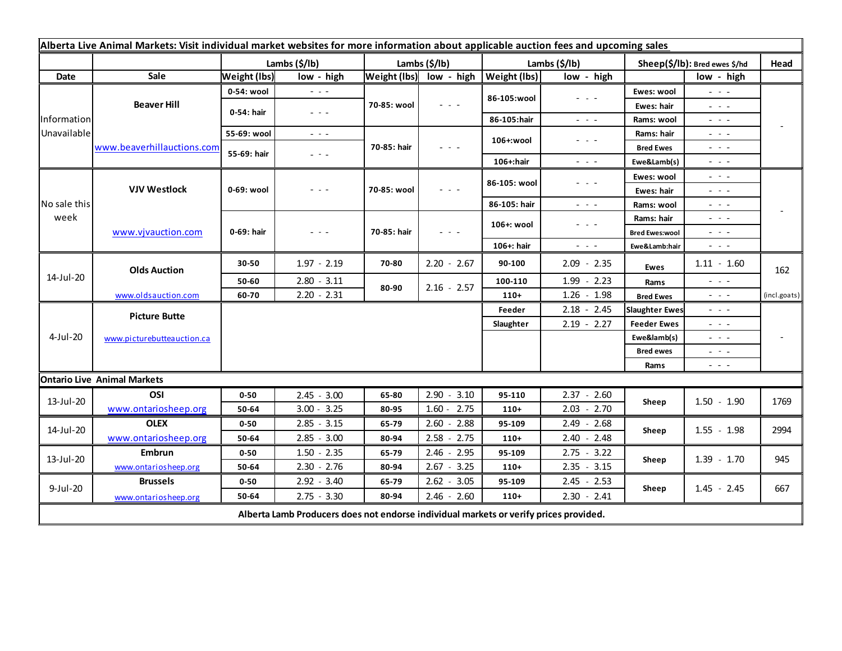| Alberta Live Animal Markets: Visit individual market websites for more information about applicable auction fees and upcoming sales |                                    |                     |                                                                                                                                                                                                              |               |                                      |                       |                                                                                                                           |                               |                                                                                                                           |              |
|-------------------------------------------------------------------------------------------------------------------------------------|------------------------------------|---------------------|--------------------------------------------------------------------------------------------------------------------------------------------------------------------------------------------------------------|---------------|--------------------------------------|-----------------------|---------------------------------------------------------------------------------------------------------------------------|-------------------------------|---------------------------------------------------------------------------------------------------------------------------|--------------|
|                                                                                                                                     |                                    | Lambs (\$/lb)       |                                                                                                                                                                                                              | Lambs (\$/lb) |                                      | Lambs $(\frac{2}{3})$ |                                                                                                                           | Sheep(\$/lb): Bred ewes \$/hd |                                                                                                                           | Head         |
| Date                                                                                                                                | Sale                               | <b>Weight (lbs)</b> | low - high                                                                                                                                                                                                   |               | Weight (Ibs) low - high Weight (Ibs) |                       | low - high                                                                                                                |                               | low - high                                                                                                                |              |
| Information<br>Unavailable                                                                                                          | <b>Beaver Hill</b>                 | 0-54: wool          | $\sim$ $\sim$ $\sim$                                                                                                                                                                                         | 70-85: wool   | $ -$                                 | 86-105:wool           | - - -                                                                                                                     | Ewes: wool                    | $\omega_{\rm{c}}$ , $\omega_{\rm{c}}$                                                                                     |              |
|                                                                                                                                     |                                    | 0-54: hair          | $  -$                                                                                                                                                                                                        |               |                                      |                       |                                                                                                                           | Ewes: hair                    | - - -                                                                                                                     |              |
|                                                                                                                                     |                                    |                     |                                                                                                                                                                                                              |               |                                      | 86-105:hair           | $\frac{1}{2} \left( \frac{1}{2} \right) \frac{1}{2} \left( \frac{1}{2} \right) \frac{1}{2} \left( \frac{1}{2} \right)$    | Rams: wool                    | 20 A G                                                                                                                    |              |
|                                                                                                                                     | www.beaverhillauctions.com         | 55-69: wool         | $\frac{1}{2} \left( \begin{array}{ccc} 1 & 0 & 0 \\ 0 & 1 & 0 \\ 0 & 0 & 0 \end{array} \right) = \frac{1}{2} \left( \begin{array}{ccc} 1 & 0 & 0 \\ 0 & 1 & 0 \\ 0 & 0 & 0 \\ 0 & 0 & 0 \end{array} \right)$ | 70-85: hair   | - - -                                | 106+:wool             | - - -                                                                                                                     | Rams: hair                    | 20 A G                                                                                                                    |              |
|                                                                                                                                     |                                    | 55-69: hair         | $  -$                                                                                                                                                                                                        |               |                                      |                       |                                                                                                                           | <b>Bred Ewes</b>              | $  -$                                                                                                                     |              |
|                                                                                                                                     |                                    |                     |                                                                                                                                                                                                              |               |                                      | 106+:hair             | $\frac{1}{2} \left( \frac{1}{2} \right) \left( \frac{1}{2} \right) \left( \frac{1}{2} \right)$                            | Ewe&Lamb(s)                   | - - -                                                                                                                     |              |
| No sale this<br>week                                                                                                                | <b>VJV Westlock</b>                | 0-69: wool          | - - -                                                                                                                                                                                                        | 70-85: wool   | - - -                                | 86-105: wool          | - - -                                                                                                                     | Ewes: wool                    | $\frac{1}{2} \left( \frac{1}{2} \right) \frac{1}{2} \left( \frac{1}{2} \right) \frac{1}{2} \left( \frac{1}{2} \right)$    |              |
|                                                                                                                                     |                                    |                     |                                                                                                                                                                                                              |               |                                      |                       |                                                                                                                           | Ewes: hair                    | $\frac{1}{2} \left( \frac{1}{2} \right) \frac{1}{2} \left( \frac{1}{2} \right) \frac{1}{2} \left( \frac{1}{2} \right)$    |              |
|                                                                                                                                     |                                    |                     |                                                                                                                                                                                                              |               |                                      | 86-105: hair          | $\frac{1}{2} \left( \frac{1}{2} \right) \left( \frac{1}{2} \right) \left( \frac{1}{2} \right) \left( \frac{1}{2} \right)$ | Rams: wool                    | $  -$                                                                                                                     |              |
|                                                                                                                                     | www.vjvauction.com                 | 0-69: hair          | $  -$                                                                                                                                                                                                        | 70-85: hair   | $  -$                                | 106+: wool            | $\frac{1}{2} \left( \frac{1}{2} \right) \left( \frac{1}{2} \right) \left( \frac{1}{2} \right) \left( \frac{1}{2} \right)$ | Rams: hair                    | $  -$                                                                                                                     |              |
|                                                                                                                                     |                                    |                     |                                                                                                                                                                                                              |               |                                      |                       |                                                                                                                           | <b>Bred Ewes:wool</b>         | $  -$                                                                                                                     |              |
|                                                                                                                                     |                                    |                     |                                                                                                                                                                                                              |               |                                      | 106+: hair            | $\frac{1}{2} \left( \frac{1}{2} \right) \left( \frac{1}{2} \right) \left( \frac{1}{2} \right) \left( \frac{1}{2} \right)$ | Ewe&Lamb:hair                 | - - -                                                                                                                     |              |
| 14-Jul-20                                                                                                                           | <b>Olds Auction</b>                | 30-50               | $1.97 - 2.19$                                                                                                                                                                                                | 70-80         | $2.20 - 2.67$                        | 90-100                | $2.09 - 2.35$                                                                                                             | Ewes                          | $1.11 - 1.60$                                                                                                             | 162          |
|                                                                                                                                     |                                    | 50-60               | $2.80 - 3.11$                                                                                                                                                                                                | 80-90         | $2.16 - 2.57$                        | 100-110               | $1.99 - 2.23$                                                                                                             | Rams                          | $\frac{1}{2} \left( \frac{1}{2} \right) \left( \frac{1}{2} \right) \left( \frac{1}{2} \right)$                            |              |
|                                                                                                                                     | www.oldsauction.com                | 60-70               | $2.20 - 2.31$                                                                                                                                                                                                |               |                                      | $110+$                | $1.26 - 1.98$                                                                                                             | <b>Bred Ewes</b>              | $ -$                                                                                                                      | (incl.goats) |
| 4-Jul-20                                                                                                                            | <b>Picture Butte</b>               |                     |                                                                                                                                                                                                              |               |                                      | Feeder                | $2.18 - 2.45$                                                                                                             | <b>Slaughter Ewes</b>         | - - -                                                                                                                     |              |
|                                                                                                                                     | www.picturebutteauction.ca         |                     |                                                                                                                                                                                                              |               |                                      | Slaughter             | $2.19 - 2.27$                                                                                                             | <b>Feeder Ewes</b>            | - - -                                                                                                                     |              |
|                                                                                                                                     |                                    |                     |                                                                                                                                                                                                              |               |                                      |                       |                                                                                                                           | Ewe&lamb(s)                   | $  -$                                                                                                                     |              |
|                                                                                                                                     |                                    |                     |                                                                                                                                                                                                              |               |                                      |                       |                                                                                                                           | <b>Bred ewes</b>              | - - -                                                                                                                     |              |
|                                                                                                                                     |                                    |                     |                                                                                                                                                                                                              |               |                                      |                       |                                                                                                                           | Rams                          | $\frac{1}{2} \left( \frac{1}{2} \right) \left( \frac{1}{2} \right) \left( \frac{1}{2} \right) \left( \frac{1}{2} \right)$ |              |
|                                                                                                                                     | <b>Ontario Live Animal Markets</b> |                     |                                                                                                                                                                                                              |               |                                      |                       |                                                                                                                           |                               |                                                                                                                           |              |
| 13-Jul-20                                                                                                                           | OSI                                | $0 - 50$            | $2.45 - 3.00$                                                                                                                                                                                                | 65-80         | 2.90<br>$-3.10$                      | 95-110                | $2.37 - 2.60$                                                                                                             | Sheep                         | $1.50 - 1.90$                                                                                                             | 1769         |
|                                                                                                                                     | www.ontariosheep.org               | 50-64               | $3.00 - 3.25$                                                                                                                                                                                                | 80-95         | $1.60 - 2.75$                        | $110+$                | $2.03 - 2.70$                                                                                                             |                               |                                                                                                                           |              |
| 14-Jul-20                                                                                                                           | <b>OLEX</b>                        | $0 - 50$            | $2.85 - 3.15$                                                                                                                                                                                                | 65-79         | $2.60 - 2.88$                        | 95-109                | $2.49 - 2.68$                                                                                                             | Sheep                         | $1.55 - 1.98$                                                                                                             | 2994         |
|                                                                                                                                     | www.ontariosheep.org               | 50-64               | $2.85 - 3.00$                                                                                                                                                                                                | 80-94         | $2.58 - 2.75$                        | $110+$                | $2.40 - 2.48$                                                                                                             |                               |                                                                                                                           |              |
| 13-Jul-20                                                                                                                           | Embrun                             | $0 - 50$            | $1.50 - 2.35$                                                                                                                                                                                                | 65-79         | $2.46 - 2.95$                        | 95-109                | $2.75 - 3.22$                                                                                                             | Sheep                         | $1.39 - 1.70$                                                                                                             | 945          |
|                                                                                                                                     | www.ontariosheep.org               | 50-64               | $2.30 - 2.76$                                                                                                                                                                                                | 80-94         | $2.67 - 3.25$                        | $110+$                | $2.35 - 3.15$                                                                                                             |                               |                                                                                                                           |              |
| 9-Jul-20                                                                                                                            | <b>Brussels</b>                    | $0 - 50$            | $2.92 - 3.40$                                                                                                                                                                                                | 65-79         | $2.62 - 3.05$                        | 95-109                | $2.45 - 2.53$                                                                                                             | Sheep                         | $1.45 - 2.45$                                                                                                             | 667          |
|                                                                                                                                     | www.ontariosheep.org               | 50-64               | $2.75 - 3.30$                                                                                                                                                                                                | 80-94         | $2.46 - 2.60$                        | $110+$                | $2.30 - 2.41$                                                                                                             |                               |                                                                                                                           |              |
| Alberta Lamb Producers does not endorse individual markets or verify prices provided.                                               |                                    |                     |                                                                                                                                                                                                              |               |                                      |                       |                                                                                                                           |                               |                                                                                                                           |              |